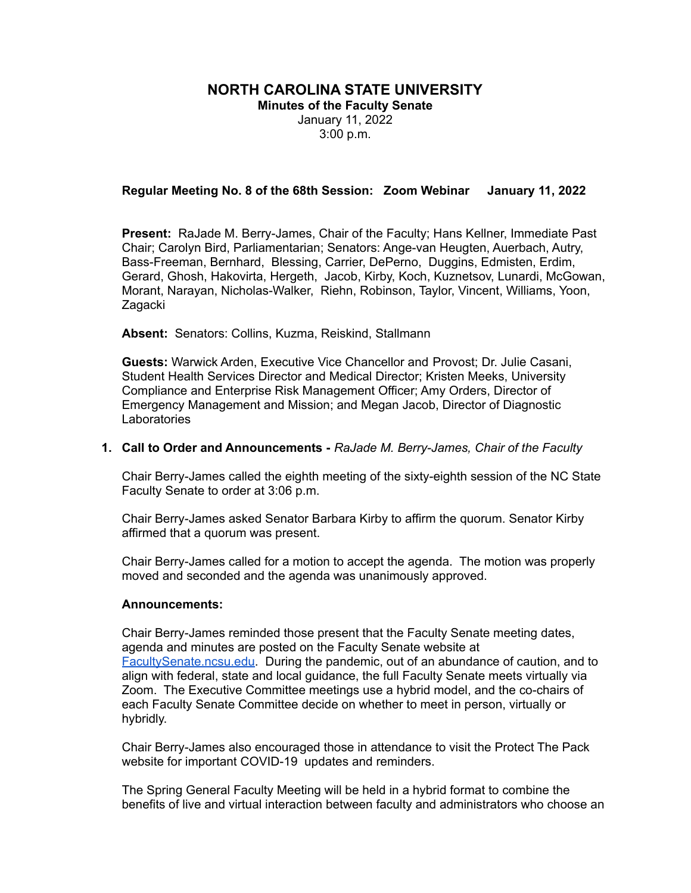# **NORTH CAROLINA STATE UNIVERSITY**

**Minutes of the Faculty Senate** January 11, 2022 3:00 p.m.

### **Regular Meeting No. 8 of the 68th Session: Zoom Webinar January 11, 2022**

**Present:** RaJade M. Berry-James, Chair of the Faculty; Hans Kellner, Immediate Past Chair; Carolyn Bird, Parliamentarian; Senators: Ange-van Heugten, Auerbach, Autry, Bass-Freeman, Bernhard, Blessing, Carrier, DePerno, Duggins, Edmisten, Erdim, Gerard, Ghosh, Hakovirta, Hergeth, Jacob, Kirby, Koch, Kuznetsov, Lunardi, McGowan, Morant, Narayan, Nicholas-Walker, Riehn, Robinson, Taylor, Vincent, Williams, Yoon, **Zagacki** 

**Absent:** Senators: Collins, Kuzma, Reiskind, Stallmann

**Guests:** Warwick Arden, Executive Vice Chancellor and Provost; Dr. Julie Casani, Student Health Services Director and Medical Director; Kristen Meeks, University Compliance and Enterprise Risk Management Officer; Amy Orders, Director of Emergency Management and Mission; and Megan Jacob, Director of Diagnostic **Laboratories** 

#### **1. Call to Order and Announcements -** *RaJade M. Berry-James, Chair of the Faculty*

Chair Berry-James called the eighth meeting of the sixty-eighth session of the NC State Faculty Senate to order at 3:06 p.m.

Chair Berry-James asked Senator Barbara Kirby to affirm the quorum. Senator Kirby affirmed that a quorum was present.

Chair Berry-James called for a motion to accept the agenda. The motion was properly moved and seconded and the agenda was unanimously approved.

#### **Announcements:**

Chair Berry-James reminded those present that the Faculty Senate meeting dates, agenda and minutes are posted on the Faculty Senate website at [FacultySenate.ncsu.edu.](http://facultysenate.ncsu.edu) During the pandemic, out of an abundance of caution, and to align with federal, state and local guidance, the full Faculty Senate meets virtually via Zoom. The Executive Committee meetings use a hybrid model, and the co-chairs of each Faculty Senate Committee decide on whether to meet in person, virtually or hybridly.

Chair Berry-James also encouraged those in attendance to visit the Protect The Pack website for important COVID-19 updates and reminders.

The Spring General Faculty Meeting will be held in a hybrid format to combine the benefits of live and virtual interaction between faculty and administrators who choose an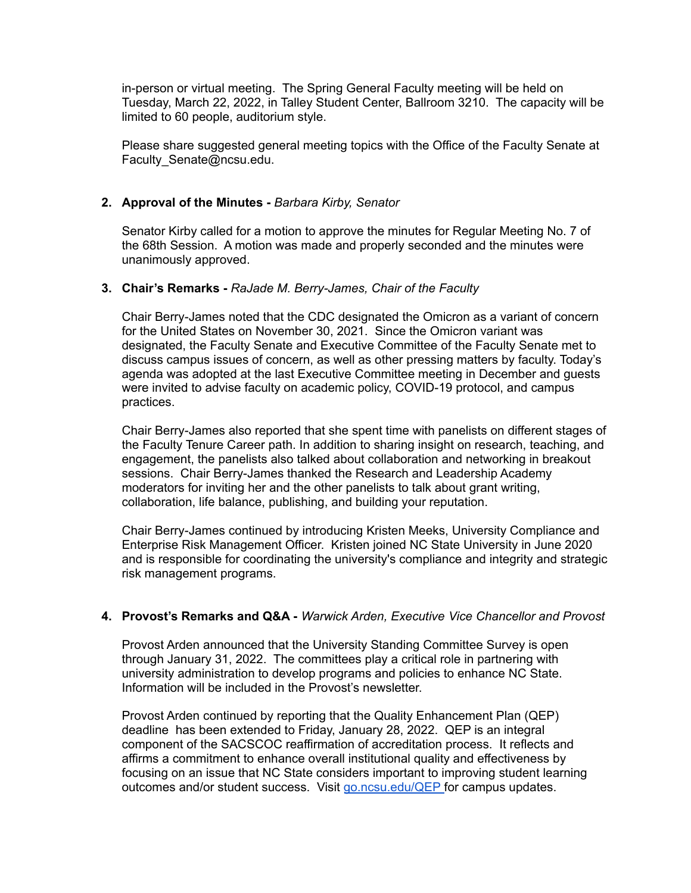in-person or virtual meeting. The Spring General Faculty meeting will be held on Tuesday, March 22, 2022, in Talley Student Center, Ballroom 3210. The capacity will be limited to 60 people, auditorium style.

Please share suggested general meeting topics with the Office of the Faculty Senate at Faculty Senate@ncsu.edu.

### **2. Approval of the Minutes -** *Barbara Kirby, Senator*

Senator Kirby called for a motion to approve the minutes for Regular Meeting No. 7 of the 68th Session. A motion was made and properly seconded and the minutes were unanimously approved.

### **3. Chair's Remarks -** *RaJade M. Berry-James, Chair of the Faculty*

Chair Berry-James noted that the CDC designated the Omicron as a variant of concern for the United States on November 30, 2021. Since the Omicron variant was designated, the Faculty Senate and Executive Committee of the Faculty Senate met to discuss campus issues of concern, as well as other pressing matters by faculty. Today's agenda was adopted at the last Executive Committee meeting in December and guests were invited to advise faculty on academic policy, COVID-19 protocol, and campus practices.

Chair Berry-James also reported that she spent time with panelists on different stages of the Faculty Tenure Career path. In addition to sharing insight on research, teaching, and engagement, the panelists also talked about collaboration and networking in breakout sessions. Chair Berry-James thanked the Research and Leadership Academy moderators for inviting her and the other panelists to talk about grant writing, collaboration, life balance, publishing, and building your reputation.

Chair Berry-James continued by introducing Kristen Meeks, University Compliance and Enterprise Risk Management Officer. Kristen joined NC State University in June 2020 and is responsible for coordinating the university's compliance and integrity and strategic risk management programs.

# **4. Provost's Remarks and Q&A -** *Warwick Arden, Executive Vice Chancellor and Provost*

Provost Arden announced that the University Standing Committee Survey is open through January 31, 2022. The committees play a critical role in partnering with university administration to develop programs and policies to enhance NC State. Information will be included in the Provost's newsletter.

Provost Arden continued by reporting that the Quality Enhancement Plan (QEP) deadline has been extended to Friday, January 28, 2022. QEP is an integral component of the SACSCOC reaffirmation of accreditation process. It reflects and affirms a commitment to enhance overall institutional quality and effectiveness by focusing on an issue that NC State considers important to improving student learning outcomes and/or student success. Visit [go.ncsu.edu/QEP](http://go.ncsu.edu/QEP) for campus updates.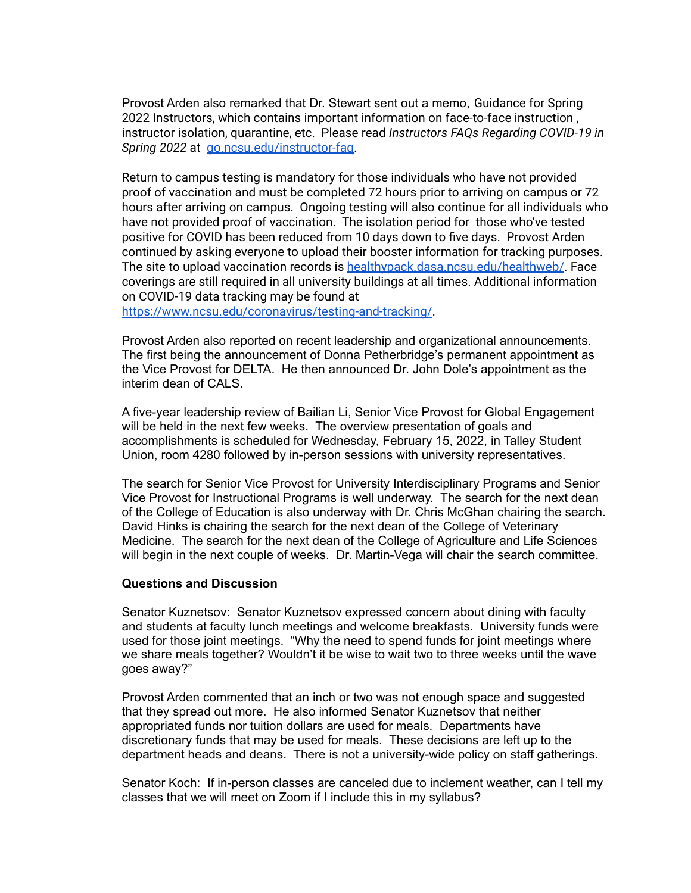Provost Arden also remarked that Dr. Stewart sent out a memo, Guidance for Spring 2022 Instructors, which contains important information on face-to-face instruction , instructor isolation, quarantine, etc. Please read *Instructors FAQs Regarding COVID-19 in Spring 2022* at [go.ncsu.edu/instructor-faq.](http://go.ncsu.edu/instructor-faq)

Return to campus testing is mandatory for those individuals who have not provided proof of vaccination and must be completed 72 hours prior to arriving on campus or 72 hours after arriving on campus. Ongoing testing will also continue for all individuals who have not provided proof of vaccination. The isolation period for those who've tested positive for COVID has been reduced from 10 days down to five days. Provost Arden continued by asking everyone to upload their booster information for tracking purposes. The site to upload vaccination records is [healthypack.dasa.ncsu.edu/healthweb/](http://healthypack.dasa.ncsu.edu/healthweb). Face coverings are still required in all university buildings at all times. Additional information on COVID-19 data tracking may be found at

<https://www.ncsu.edu/coronavirus/testing-and-tracking/>.

Provost Arden also reported on recent leadership and organizational announcements. The first being the announcement of Donna Petherbridge's permanent appointment as the Vice Provost for DELTA. He then announced Dr. John Dole's appointment as the interim dean of CALS.

A five-year leadership review of Bailian Li, Senior Vice Provost for Global Engagement will be held in the next few weeks. The overview presentation of goals and accomplishments is scheduled for Wednesday, February 15, 2022, in Talley Student Union, room 4280 followed by in-person sessions with university representatives.

The search for Senior Vice Provost for University Interdisciplinary Programs and Senior Vice Provost for Instructional Programs is well underway. The search for the next dean of the College of Education is also underway with Dr. Chris McGhan chairing the search. David Hinks is chairing the search for the next dean of the College of Veterinary Medicine. The search for the next dean of the College of Agriculture and Life Sciences will begin in the next couple of weeks. Dr. Martin-Vega will chair the search committee.

### **Questions and Discussion**

Senator Kuznetsov: Senator Kuznetsov expressed concern about dining with faculty and students at faculty lunch meetings and welcome breakfasts. University funds were used for those joint meetings. "Why the need to spend funds for joint meetings where we share meals together? Wouldn't it be wise to wait two to three weeks until the wave goes away?"

Provost Arden commented that an inch or two was not enough space and suggested that they spread out more. He also informed Senator Kuznetsov that neither appropriated funds nor tuition dollars are used for meals. Departments have discretionary funds that may be used for meals. These decisions are left up to the department heads and deans. There is not a university-wide policy on staff gatherings.

Senator Koch: If in-person classes are canceled due to inclement weather, can I tell my classes that we will meet on Zoom if I include this in my syllabus?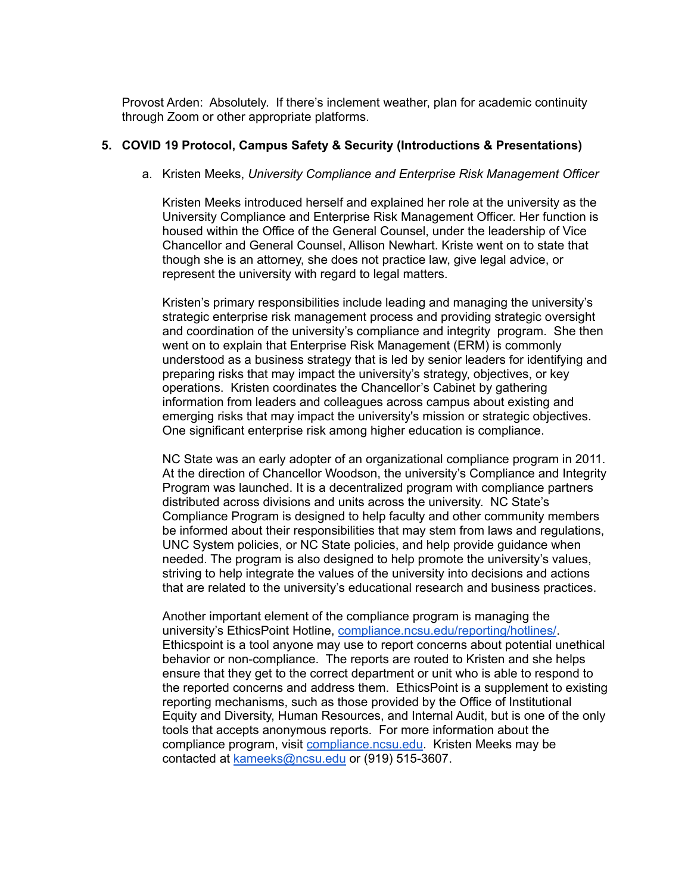Provost Arden: Absolutely. If there's inclement weather, plan for academic continuity through Zoom or other appropriate platforms.

#### **5. COVID 19 Protocol, Campus Safety & Security (Introductions & Presentations)**

a. Kristen Meeks, *University Compliance and Enterprise Risk Management Officer*

Kristen Meeks introduced herself and explained her role at the university as the University Compliance and Enterprise Risk Management Officer. Her function is housed within the Office of the General Counsel, under the leadership of Vice Chancellor and General Counsel, Allison Newhart. Kriste went on to state that though she is an attorney, she does not practice law, give legal advice, or represent the university with regard to legal matters.

Kristen's primary responsibilities include leading and managing the university's strategic enterprise risk management process and providing strategic oversight and coordination of the university's compliance and integrity program. She then went on to explain that Enterprise Risk Management (ERM) is commonly understood as a business strategy that is led by senior leaders for identifying and preparing risks that may impact the university's strategy, objectives, or key operations. Kristen coordinates the Chancellor's Cabinet by gathering information from leaders and colleagues across campus about existing and emerging risks that may impact the university's mission or strategic objectives. One significant enterprise risk among higher education is compliance.

NC State was an early adopter of an organizational compliance program in 2011. At the direction of Chancellor Woodson, the university's Compliance and Integrity Program was launched. It is a decentralized program with compliance partners distributed across divisions and units across the university. NC State's Compliance Program is designed to help faculty and other community members be informed about their responsibilities that may stem from laws and regulations, UNC System policies, or NC State policies, and help provide guidance when needed. The program is also designed to help promote the university's values, striving to help integrate the values of the university into decisions and actions that are related to the university's educational research and business practices.

Another important element of the compliance program is managing the university's EthicsPoint Hotline, [compliance.ncsu.edu/reporting/hotlines/](http://compliance.ncsu.edu/reporting/hotlines/). Ethicspoint is a tool anyone may use to report concerns about potential unethical behavior or non-compliance. The reports are routed to Kristen and she helps ensure that they get to the correct department or unit who is able to respond to the reported concerns and address them. EthicsPoint is a supplement to existing reporting mechanisms, such as those provided by the Office of Institutional Equity and Diversity, Human Resources, and Internal Audit, but is one of the only tools that accepts anonymous reports. For more information about the compliance program, visit [compliance.ncsu.edu.](http://compliance.ncsu.edu) Kristen Meeks may be contacted at [kameeks@ncsu.edu](mailto:kameeks@ncsu.edu) or (919) 515-3607.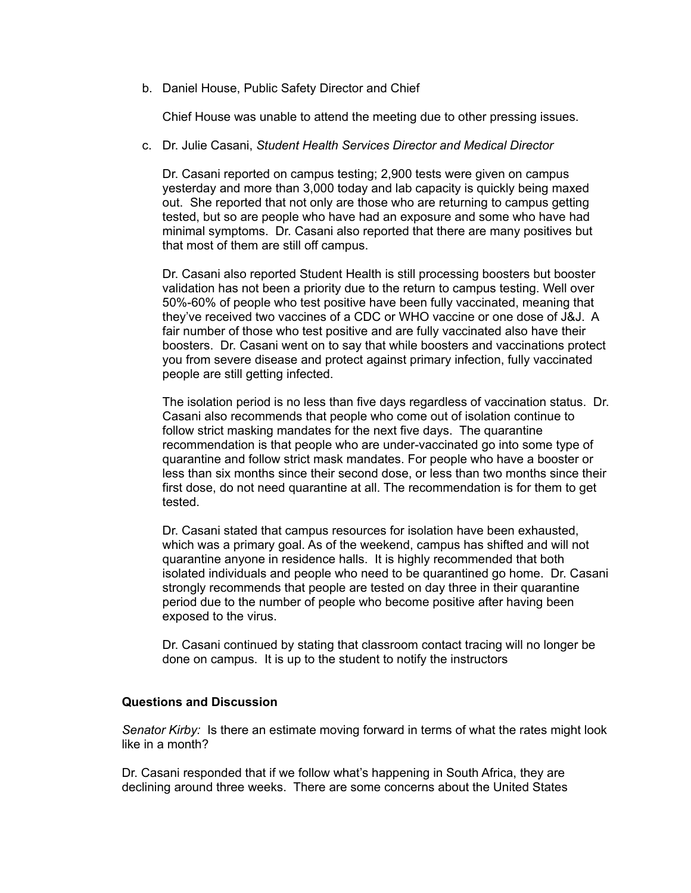b. Daniel House, Public Safety Director and Chief

Chief House was unable to attend the meeting due to other pressing issues.

c. Dr. Julie Casani, *Student Health Services Director and Medical Director*

Dr. Casani reported on campus testing; 2,900 tests were given on campus yesterday and more than 3,000 today and lab capacity is quickly being maxed out. She reported that not only are those who are returning to campus getting tested, but so are people who have had an exposure and some who have had minimal symptoms. Dr. Casani also reported that there are many positives but that most of them are still off campus.

Dr. Casani also reported Student Health is still processing boosters but booster validation has not been a priority due to the return to campus testing. Well over 50%-60% of people who test positive have been fully vaccinated, meaning that they've received two vaccines of a CDC or WHO vaccine or one dose of J&J. A fair number of those who test positive and are fully vaccinated also have their boosters. Dr. Casani went on to say that while boosters and vaccinations protect you from severe disease and protect against primary infection, fully vaccinated people are still getting infected.

The isolation period is no less than five days regardless of vaccination status. Dr. Casani also recommends that people who come out of isolation continue to follow strict masking mandates for the next five days. The quarantine recommendation is that people who are under-vaccinated go into some type of quarantine and follow strict mask mandates. For people who have a booster or less than six months since their second dose, or less than two months since their first dose, do not need quarantine at all. The recommendation is for them to get tested.

Dr. Casani stated that campus resources for isolation have been exhausted, which was a primary goal. As of the weekend, campus has shifted and will not quarantine anyone in residence halls. It is highly recommended that both isolated individuals and people who need to be quarantined go home. Dr. Casani strongly recommends that people are tested on day three in their quarantine period due to the number of people who become positive after having been exposed to the virus.

Dr. Casani continued by stating that classroom contact tracing will no longer be done on campus. It is up to the student to notify the instructors

# **Questions and Discussion**

*Senator Kirby:* Is there an estimate moving forward in terms of what the rates might look like in a month?

Dr. Casani responded that if we follow what's happening in South Africa, they are declining around three weeks. There are some concerns about the United States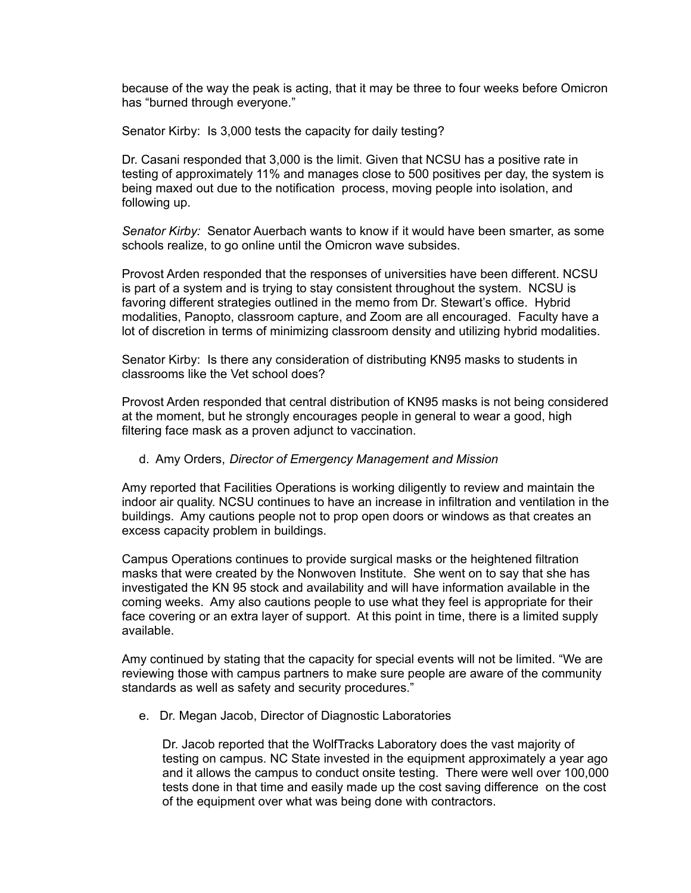because of the way the peak is acting, that it may be three to four weeks before Omicron has "burned through everyone."

Senator Kirby: Is 3,000 tests the capacity for daily testing?

Dr. Casani responded that 3,000 is the limit. Given that NCSU has a positive rate in testing of approximately 11% and manages close to 500 positives per day, the system is being maxed out due to the notification process, moving people into isolation, and following up.

*Senator Kirby:* Senator Auerbach wants to know if it would have been smarter, as some schools realize, to go online until the Omicron wave subsides.

Provost Arden responded that the responses of universities have been different. NCSU is part of a system and is trying to stay consistent throughout the system. NCSU is favoring different strategies outlined in the memo from Dr. Stewart's office. Hybrid modalities, Panopto, classroom capture, and Zoom are all encouraged. Faculty have a lot of discretion in terms of minimizing classroom density and utilizing hybrid modalities.

Senator Kirby: Is there any consideration of distributing KN95 masks to students in classrooms like the Vet school does?

Provost Arden responded that central distribution of KN95 masks is not being considered at the moment, but he strongly encourages people in general to wear a good, high filtering face mask as a proven adjunct to vaccination.

### d. Amy Orders, *Director of Emergency Management and Mission*

Amy reported that Facilities Operations is working diligently to review and maintain the indoor air quality. NCSU continues to have an increase in infiltration and ventilation in the buildings. Amy cautions people not to prop open doors or windows as that creates an excess capacity problem in buildings.

Campus Operations continues to provide surgical masks or the heightened filtration masks that were created by the Nonwoven Institute. She went on to say that she has investigated the KN 95 stock and availability and will have information available in the coming weeks. Amy also cautions people to use what they feel is appropriate for their face covering or an extra layer of support. At this point in time, there is a limited supply available.

Amy continued by stating that the capacity for special events will not be limited. "We are reviewing those with campus partners to make sure people are aware of the community standards as well as safety and security procedures."

e. Dr. Megan Jacob, Director of Diagnostic Laboratories

Dr. Jacob reported that the WolfTracks Laboratory does the vast majority of testing on campus. NC State invested in the equipment approximately a year ago and it allows the campus to conduct onsite testing. There were well over 100,000 tests done in that time and easily made up the cost saving difference on the cost of the equipment over what was being done with contractors.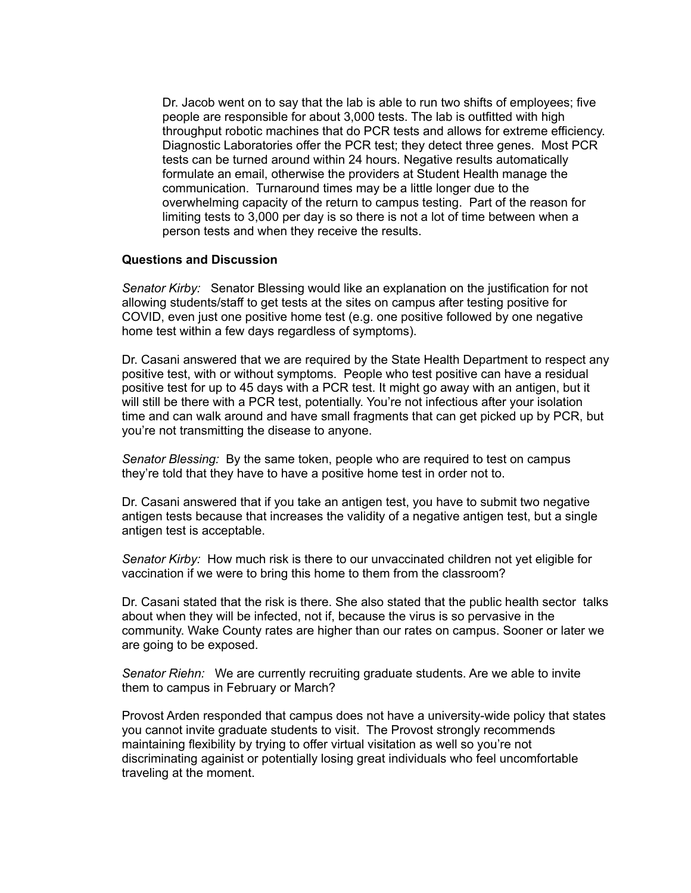Dr. Jacob went on to say that the lab is able to run two shifts of employees; five people are responsible for about 3,000 tests. The lab is outfitted with high throughput robotic machines that do PCR tests and allows for extreme efficiency. Diagnostic Laboratories offer the PCR test; they detect three genes. Most PCR tests can be turned around within 24 hours. Negative results automatically formulate an email, otherwise the providers at Student Health manage the communication. Turnaround times may be a little longer due to the overwhelming capacity of the return to campus testing. Part of the reason for limiting tests to 3,000 per day is so there is not a lot of time between when a person tests and when they receive the results.

### **Questions and Discussion**

*Senator Kirby:* Senator Blessing would like an explanation on the justification for not allowing students/staff to get tests at the sites on campus after testing positive for COVID, even just one positive home test (e.g. one positive followed by one negative home test within a few days regardless of symptoms).

Dr. Casani answered that we are required by the State Health Department to respect any positive test, with or without symptoms. People who test positive can have a residual positive test for up to 45 days with a PCR test. It might go away with an antigen, but it will still be there with a PCR test, potentially. You're not infectious after your isolation time and can walk around and have small fragments that can get picked up by PCR, but you're not transmitting the disease to anyone.

*Senator Blessing:* By the same token, people who are required to test on campus they're told that they have to have a positive home test in order not to.

Dr. Casani answered that if you take an antigen test, you have to submit two negative antigen tests because that increases the validity of a negative antigen test, but a single antigen test is acceptable.

*Senator Kirby:* How much risk is there to our unvaccinated children not yet eligible for vaccination if we were to bring this home to them from the classroom?

Dr. Casani stated that the risk is there. She also stated that the public health sector talks about when they will be infected, not if, because the virus is so pervasive in the community. Wake County rates are higher than our rates on campus. Sooner or later we are going to be exposed.

*Senator Riehn:* We are currently recruiting graduate students. Are we able to invite them to campus in February or March?

Provost Arden responded that campus does not have a university-wide policy that states you cannot invite graduate students to visit. The Provost strongly recommends maintaining flexibility by trying to offer virtual visitation as well so you're not discriminating againist or potentially losing great individuals who feel uncomfortable traveling at the moment.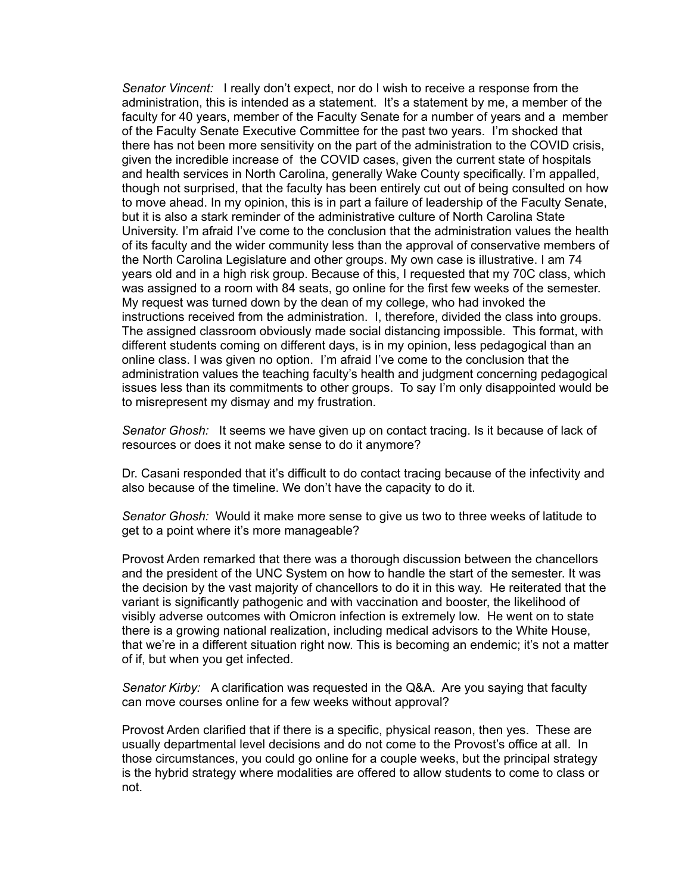*Senator Vincent:* I really don't expect, nor do I wish to receive a response from the administration, this is intended as a statement. It's a statement by me, a member of the faculty for 40 years, member of the Faculty Senate for a number of years and a member of the Faculty Senate Executive Committee for the past two years. I'm shocked that there has not been more sensitivity on the part of the administration to the COVID crisis, given the incredible increase of the COVID cases, given the current state of hospitals and health services in North Carolina, generally Wake County specifically. I'm appalled, though not surprised, that the faculty has been entirely cut out of being consulted on how to move ahead. In my opinion, this is in part a failure of leadership of the Faculty Senate, but it is also a stark reminder of the administrative culture of North Carolina State University. I'm afraid I've come to the conclusion that the administration values the health of its faculty and the wider community less than the approval of conservative members of the North Carolina Legislature and other groups. My own case is illustrative. I am 74 years old and in a high risk group. Because of this, I requested that my 70C class, which was assigned to a room with 84 seats, go online for the first few weeks of the semester. My request was turned down by the dean of my college, who had invoked the instructions received from the administration. I, therefore, divided the class into groups. The assigned classroom obviously made social distancing impossible. This format, with different students coming on different days, is in my opinion, less pedagogical than an online class. I was given no option. I'm afraid I've come to the conclusion that the administration values the teaching faculty's health and judgment concerning pedagogical issues less than its commitments to other groups. To say I'm only disappointed would be to misrepresent my dismay and my frustration.

*Senator Ghosh:* It seems we have given up on contact tracing. Is it because of lack of resources or does it not make sense to do it anymore?

Dr. Casani responded that it's difficult to do contact tracing because of the infectivity and also because of the timeline. We don't have the capacity to do it.

*Senator Ghosh:* Would it make more sense to give us two to three weeks of latitude to get to a point where it's more manageable?

Provost Arden remarked that there was a thorough discussion between the chancellors and the president of the UNC System on how to handle the start of the semester. It was the decision by the vast majority of chancellors to do it in this way. He reiterated that the variant is significantly pathogenic and with vaccination and booster, the likelihood of visibly adverse outcomes with Omicron infection is extremely low. He went on to state there is a growing national realization, including medical advisors to the White House, that we're in a different situation right now. This is becoming an endemic; it's not a matter of if, but when you get infected.

*Senator Kirby:* A clarification was requested in the Q&A. Are you saying that faculty can move courses online for a few weeks without approval?

Provost Arden clarified that if there is a specific, physical reason, then yes. These are usually departmental level decisions and do not come to the Provost's office at all. In those circumstances, you could go online for a couple weeks, but the principal strategy is the hybrid strategy where modalities are offered to allow students to come to class or not.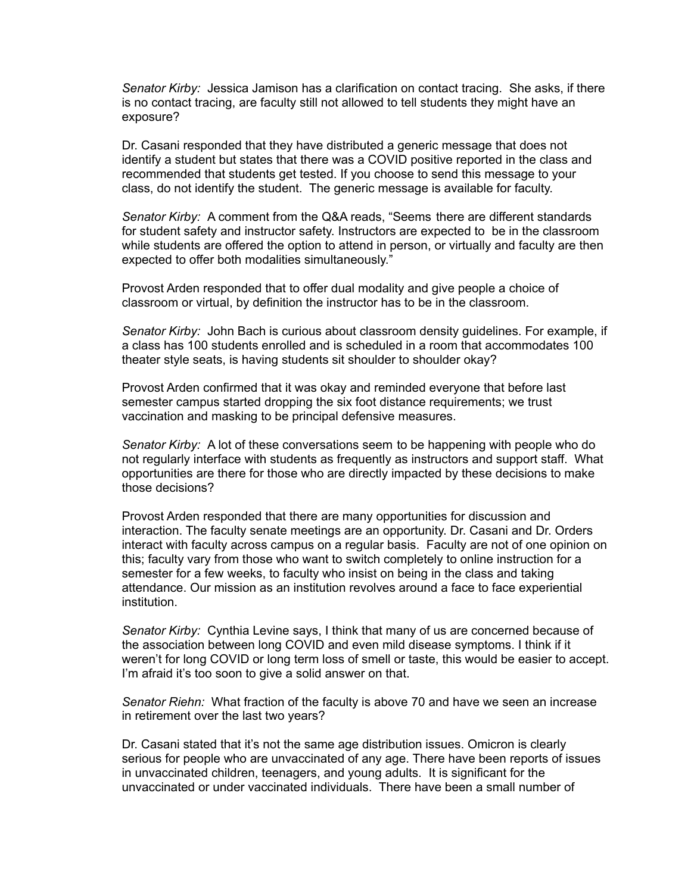*Senator Kirby:* Jessica Jamison has a clarification on contact tracing. She asks, if there is no contact tracing, are faculty still not allowed to tell students they might have an exposure?

Dr. Casani responded that they have distributed a generic message that does not identify a student but states that there was a COVID positive reported in the class and recommended that students get tested. If you choose to send this message to your class, do not identify the student. The generic message is available for faculty.

*Senator Kirby:* A comment from the Q&A reads, "Seems there are different standards for student safety and instructor safety. Instructors are expected to be in the classroom while students are offered the option to attend in person, or virtually and faculty are then expected to offer both modalities simultaneously."

Provost Arden responded that to offer dual modality and give people a choice of classroom or virtual, by definition the instructor has to be in the classroom.

*Senator Kirby:* John Bach is curious about classroom density guidelines. For example, if a class has 100 students enrolled and is scheduled in a room that accommodates 100 theater style seats, is having students sit shoulder to shoulder okay?

Provost Arden confirmed that it was okay and reminded everyone that before last semester campus started dropping the six foot distance requirements; we trust vaccination and masking to be principal defensive measures.

*Senator Kirby:* A lot of these conversations seem to be happening with people who do not regularly interface with students as frequently as instructors and support staff. What opportunities are there for those who are directly impacted by these decisions to make those decisions?

Provost Arden responded that there are many opportunities for discussion and interaction. The faculty senate meetings are an opportunity. Dr. Casani and Dr. Orders interact with faculty across campus on a regular basis. Faculty are not of one opinion on this; faculty vary from those who want to switch completely to online instruction for a semester for a few weeks, to faculty who insist on being in the class and taking attendance. Our mission as an institution revolves around a face to face experiential institution.

*Senator Kirby:* Cynthia Levine says, I think that many of us are concerned because of the association between long COVID and even mild disease symptoms. I think if it weren't for long COVID or long term loss of smell or taste, this would be easier to accept. I'm afraid it's too soon to give a solid answer on that.

*Senator Riehn:* What fraction of the faculty is above 70 and have we seen an increase in retirement over the last two years?

Dr. Casani stated that it's not the same age distribution issues. Omicron is clearly serious for people who are unvaccinated of any age. There have been reports of issues in unvaccinated children, teenagers, and young adults. It is significant for the unvaccinated or under vaccinated individuals. There have been a small number of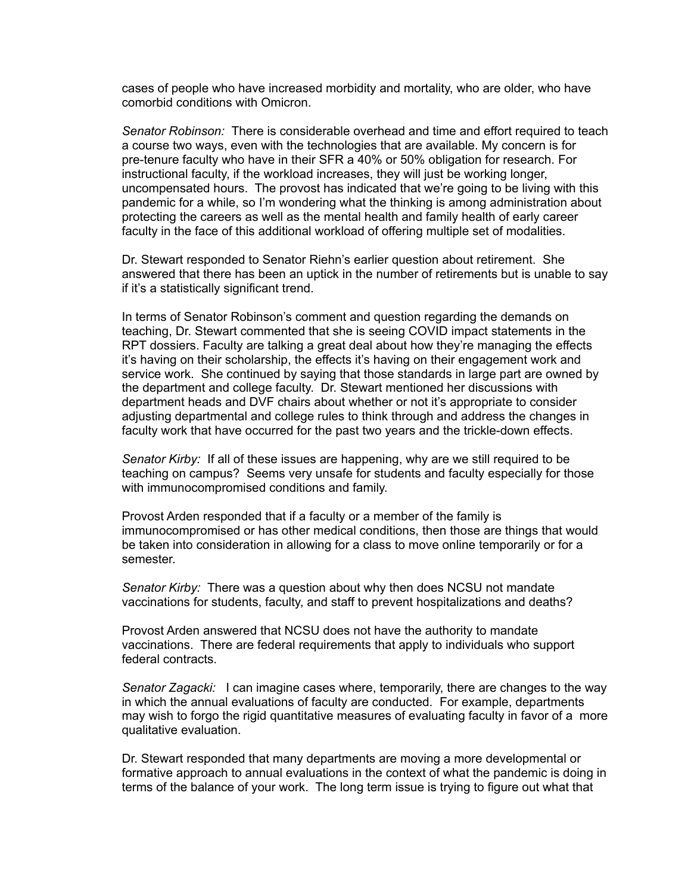cases of people who have increased morbidity and mortality, who are older, who have comorbid conditions with Omicron.

*Senator Robinson:* There is considerable overhead and time and effort required to teach a course two ways, even with the technologies that are available. My concern is for pre-tenure faculty who have in their SFR a 40% or 50% obligation for research. For instructional faculty, if the workload increases, they will just be working longer, uncompensated hours. The provost has indicated that we're going to be living with this pandemic for a while, so I'm wondering what the thinking is among administration about protecting the careers as well as the mental health and family health of early career faculty in the face of this additional workload of offering multiple set of modalities.

Dr. Stewart responded to Senator Riehn's earlier question about retirement. She answered that there has been an uptick in the number of retirements but is unable to say if it's a statistically significant trend.

In terms of Senator Robinson's comment and question regarding the demands on teaching, Dr. Stewart commented that she is seeing COVID impact statements in the RPT dossiers. Faculty are talking a great deal about how they're managing the effects it's having on their scholarship, the effects it's having on their engagement work and service work. She continued by saying that those standards in large part are owned by the department and college faculty. Dr. Stewart mentioned her discussions with department heads and DVF chairs about whether or not it's appropriate to consider adjusting departmental and college rules to think through and address the changes in faculty work that have occurred for the past two years and the trickle-down effects.

*Senator Kirby:* If all of these issues are happening, why are we still required to be teaching on campus? Seems very unsafe for students and faculty especially for those with immunocompromised conditions and family.

Provost Arden responded that if a faculty or a member of the family is immunocompromised or has other medical conditions, then those are things that would be taken into consideration in allowing for a class to move online temporarily or for a semester.

*Senator Kirby:* There was a question about why then does NCSU not mandate vaccinations for students, faculty, and staff to prevent hospitalizations and deaths?

Provost Arden answered that NCSU does not have the authority to mandate vaccinations. There are federal requirements that apply to individuals who support federal contracts.

*Senator Zagacki:* I can imagine cases where, temporarily, there are changes to the way in which the annual evaluations of faculty are conducted. For example, departments may wish to forgo the rigid quantitative measures of evaluating faculty in favor of a more qualitative evaluation.

Dr. Stewart responded that many departments are moving a more developmental or formative approach to annual evaluations in the context of what the pandemic is doing in terms of the balance of your work. The long term issue is trying to figure out what that